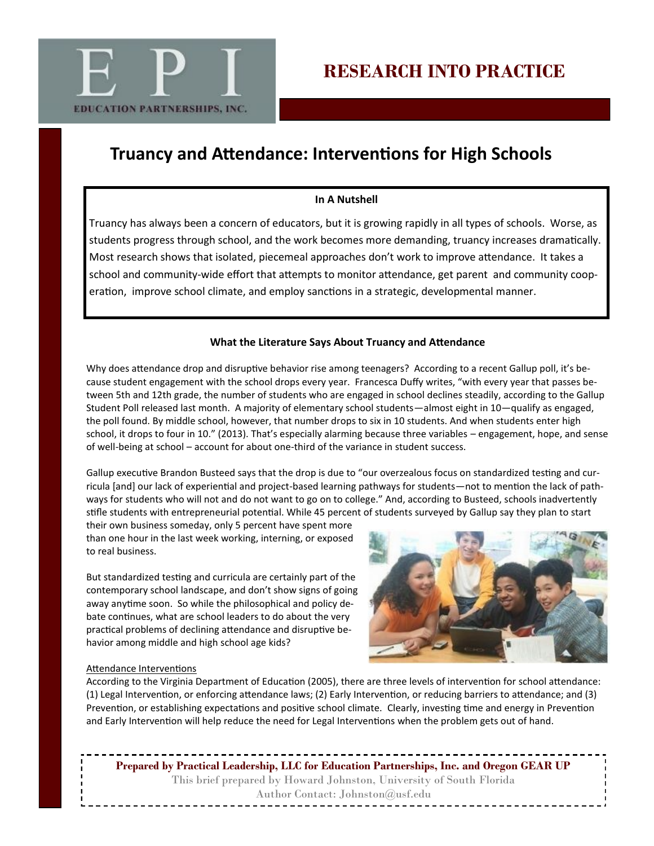

## **Truancy and Attendance: Interventions for High Schools**

## **In A Nutshell**

Truancy has always been a concern of educators, but it is growing rapidly in all types of schools. Worse, as students progress through school, and the work becomes more demanding, truancy increases dramatically. Most research shows that isolated, piecemeal approaches don't work to improve attendance. It takes a school and community-wide effort that attempts to monitor attendance, get parent and community cooperation, improve school climate, and employ sanctions in a strategic, developmental manner.

## **What the Literature Says About Truancy and Attendance**

Why does attendance drop and disruptive behavior rise among teenagers? According to a recent Gallup poll, it's because student engagement with the school drops every year. Francesca Duffy writes, "with every year that passes between 5th and 12th grade, the number of students who are engaged in school declines steadily, according to the Gallup Student Poll released last month. A majority of elementary school students—almost eight in 10—qualify as engaged, the poll found. By middle school, however, that number drops to six in 10 students. And when students enter high school, it drops to four in 10." (2013). That's especially alarming because three variables – engagement, hope, and sense of well-being at school – account for about one-third of the variance in student success.

Gallup executive Brandon Busteed says that the drop is due to "our overzealous focus on standardized testing and curricula [and] our lack of experiential and project-based learning pathways for students—not to mention the lack of pathways for students who will not and do not want to go on to college." And, according to Busteed, schools inadvertently stifle students with entrepreneurial potential. While 45 percent of students surveyed by Gallup say they plan to start

their own business someday, only 5 percent have spent more than one hour in the last week working, interning, or exposed to real business.

But standardized testing and curricula are certainly part of the contemporary school landscape, and don't show signs of going away anytime soon. So while the philosophical and policy debate continues, what are school leaders to do about the very practical problems of declining attendance and disruptive behavior among middle and high school age kids?



#### Attendance Interventions

According to the Virginia Department of Education (2005), there are three levels of intervention for school attendance: (1) Legal Intervention, or enforcing attendance laws; (2) Early Intervention, or reducing barriers to attendance; and (3) Prevention, or establishing expectations and positive school climate. Clearly, investing time and energy in Prevention and Early Intervention will help reduce the need for Legal Interventions when the problem gets out of hand.

**Prepared by Practical Leadership, LLC for Education Partnerships, Inc. and Oregon GEAR UP** This brief prepared by Howard Johnston, University of South Florida Author Contact: Johnston@usf.edu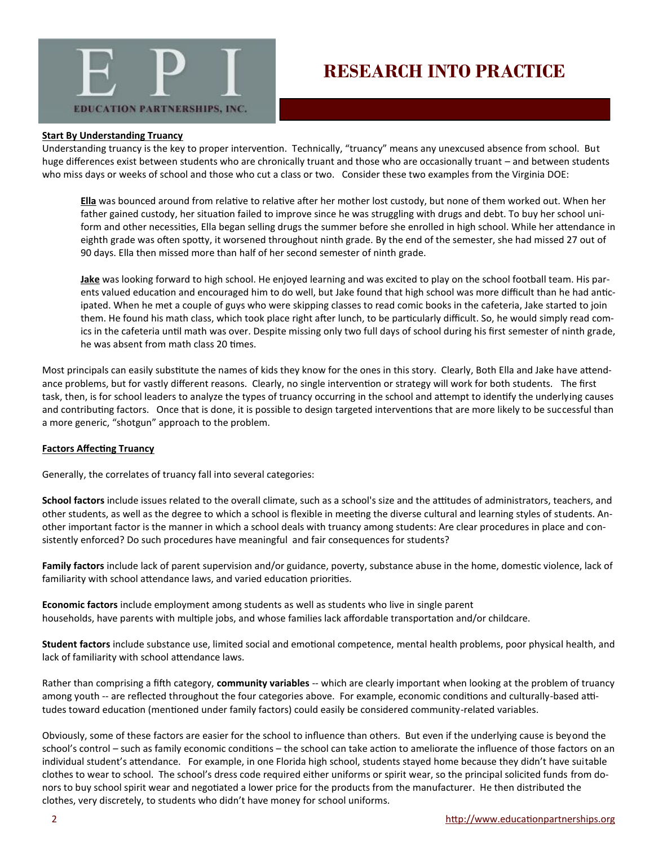

## **RESEARCH INTO PRACTICE**

#### **Start By Understanding Truancy**

Understanding truancy is the key to proper intervention. Technically, "truancy" means any unexcused absence from school. But huge differences exist between students who are chronically truant and those who are occasionally truant – and between students who miss days or weeks of school and those who cut a class or two. Consider these two examples from the Virginia DOE:

**Ella** was bounced around from relative to relative after her mother lost custody, but none of them worked out. When her father gained custody, her situation failed to improve since he was struggling with drugs and debt. To buy her school uniform and other necessities, Ella began selling drugs the summer before she enrolled in high school. While her attendance in eighth grade was often spotty, it worsened throughout ninth grade. By the end of the semester, she had missed 27 out of 90 days. Ella then missed more than half of her second semester of ninth grade.

**Jake** was looking forward to high school. He enjoyed learning and was excited to play on the school football team. His parents valued education and encouraged him to do well, but Jake found that high school was more difficult than he had anticipated. When he met a couple of guys who were skipping classes to read comic books in the cafeteria, Jake started to join them. He found his math class, which took place right after lunch, to be particularly difficult. So, he would simply read comics in the cafeteria until math was over. Despite missing only two full days of school during his first semester of ninth grade, he was absent from math class 20 times.

Most principals can easily substitute the names of kids they know for the ones in this story. Clearly, Both Ella and Jake have attendance problems, but for vastly different reasons. Clearly, no single intervention or strategy will work for both students. The first task, then, is for school leaders to analyze the types of truancy occurring in the school and attempt to identify the underlying causes and contributing factors. Once that is done, it is possible to design targeted interventions that are more likely to be successful than a more generic, "shotgun" approach to the problem.

#### **Factors Affecting Truancy**

Generally, the correlates of truancy fall into several categories:

**School factors** include issues related to the overall climate, such as a school's size and the attitudes of administrators, teachers, and other students, as well as the degree to which a school is flexible in meeting the diverse cultural and learning styles of students. Another important factor is the manner in which a school deals with truancy among students: Are clear procedures in place and consistently enforced? Do such procedures have meaningful and fair consequences for students?

**Family factors** include lack of parent supervision and/or guidance, poverty, substance abuse in the home, domestic violence, lack of familiarity with school attendance laws, and varied education priorities.

**Economic factors** include employment among students as well as students who live in single parent households, have parents with multiple jobs, and whose families lack affordable transportation and/or childcare.

**Student factors** include substance use, limited social and emotional competence, mental health problems, poor physical health, and lack of familiarity with school attendance laws.

Rather than comprising a fifth category, **community variables** -- which are clearly important when looking at the problem of truancy among youth -- are reflected throughout the four categories above. For example, economic conditions and culturally-based attitudes toward education (mentioned under family factors) could easily be considered community-related variables.

Obviously, some of these factors are easier for the school to influence than others. But even if the underlying cause is beyond the school's control – such as family economic conditions – the school can take action to ameliorate the influence of those factors on an individual student's attendance. For example, in one Florida high school, students stayed home because they didn't have suitable clothes to wear to school. The school's dress code required either uniforms or spirit wear, so the principal solicited funds from donors to buy school spirit wear and negotiated a lower price for the products from the manufacturer. He then distributed the clothes, very discretely, to students who didn't have money for school uniforms.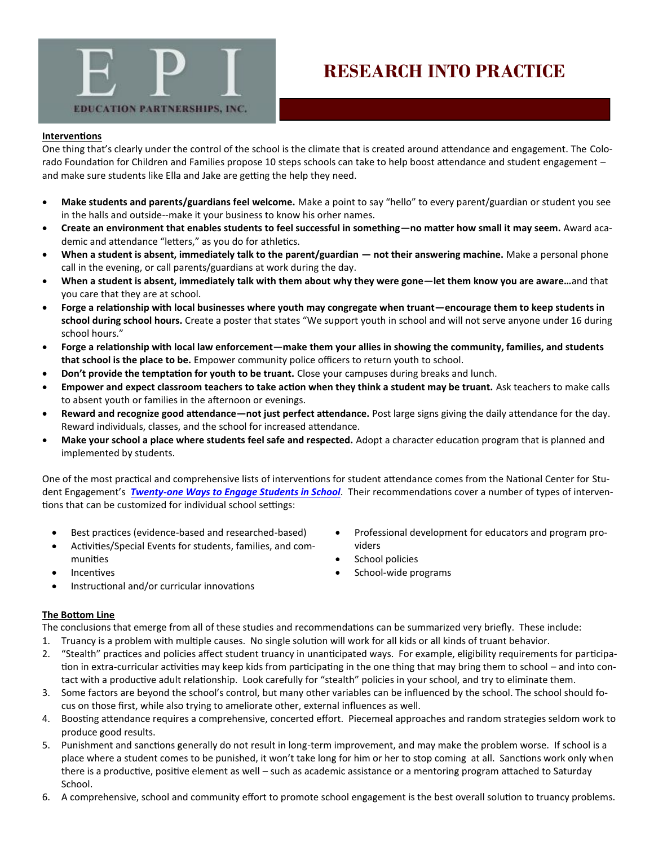

# **RESEARCH INTO PRACTICE**

#### **Interventions**

One thing that's clearly under the control of the school is the climate that is created around attendance and engagement. The Colorado Foundation for Children and Families propose 10 steps schools can take to help boost attendance and student engagement – and make sure students like Ella and Jake are getting the help they need.

- **Make students and parents/guardians feel welcome.** Make a point to say "hello" to every parent/guardian or student you see in the halls and outside--make it your business to know his orher names.
- **Create an environment that enables students to feel successful in something—no matter how small it may seem.** Award academic and attendance "letters," as you do for athletics.
- **When a student is absent, immediately talk to the parent/guardian — not their answering machine.** Make a personal phone call in the evening, or call parents/guardians at work during the day.
- **When a student is absent, immediately talk with them about why they were gone—let them know you are aware…**and that you care that they are at school.
- **Forge a relationship with local businesses where youth may congregate when truant—encourage them to keep students in school during school hours.** Create a poster that states "We support youth in school and will not serve anyone under 16 during school hours."
- **Forge a relationship with local law enforcement—make them your allies in showing the community, families, and students that school is the place to be.** Empower community police officers to return youth to school.
- **Don't provide the temptation for youth to be truant.** Close your campuses during breaks and lunch.
- **Empower and expect classroom teachers to take action when they think a student may be truant.** Ask teachers to make calls to absent youth or families in the afternoon or evenings.
- **Reward and recognize good attendance—not just perfect attendance.** Post large signs giving the daily attendance for the day. Reward individuals, classes, and the school for increased attendance.
- **Make your school a place where students feel safe and respected.** Adopt a character education program that is planned and implemented by students.

One of the most practical and comprehensive lists of interventions for student attendance comes from the National Center for Student Engagement's *Twenty-[one Ways to Engage Students in School](http://www.schoolengagement.org/TruancypreventionRegistry/Admin/Resources/Resources/21WaystoEngageStudentsinSchool.pdf)*. Their recommendations cover a number of types of interventions that can be customized for individual school settings:

- Best practices (evidence-based and researched-based)
- Activities/Special Events for students, families, and communities
- Incentives
- Instructional and/or curricular innovations

### **The Bottom Line**

The conclusions that emerge from all of these studies and recommendations can be summarized very briefly. These include:

- 1. Truancy is a problem with multiple causes. No single solution will work for all kids or all kinds of truant behavior.
- 2. "Stealth" practices and policies affect student truancy in unanticipated ways. For example, eligibility requirements for participation in extra-curricular activities may keep kids from participating in the one thing that may bring them to school – and into contact with a productive adult relationship. Look carefully for "stealth" policies in your school, and try to eliminate them.
- 3. Some factors are beyond the school's control, but many other variables can be influenced by the school. The school should focus on those first, while also trying to ameliorate other, external influences as well.
- 4. Boosting attendance requires a comprehensive, concerted effort. Piecemeal approaches and random strategies seldom work to produce good results.
- 5. Punishment and sanctions generally do not result in long-term improvement, and may make the problem worse. If school is a place where a student comes to be punished, it won't take long for him or her to stop coming at all. Sanctions work only when there is a productive, positive element as well – such as academic assistance or a mentoring program attached to Saturday School.
- 6. A comprehensive, school and community effort to promote school engagement is the best overall solution to truancy problems.
- Professional development for educators and program providers
- School policies
- School-wide programs